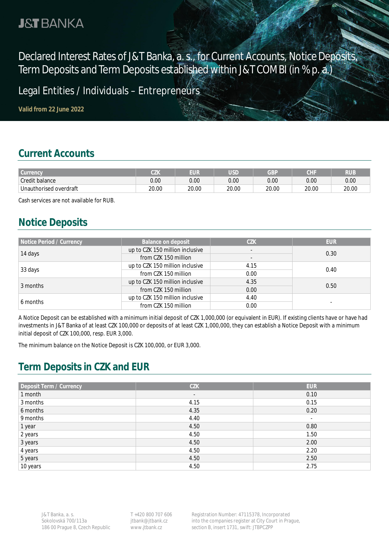# **J&T BANKA**

Declared Interest Rates of J&T Banka, a. s., for Current Accounts, Notice Deposits, Term Deposits and Term Deposits established within J&T COMBI (in % p. a.)

Legal Entities / Individuals - Entrepreneurs

**Valid from 22 June 2022**

#### **Current Accounts**

| <b>Currency</b>        | 07V<br>◡∠Ⅳ | EUR   | <b>JSD</b> | GBP   | CHI   | RUE   |
|------------------------|------------|-------|------------|-------|-------|-------|
| Credit balance         | 0.00       | 0.00  | 0.00       | 0.00  | 0.00  | 0.00  |
| Unauthorised overdraft | 20.00      | 20.00 | 20.00      | 20.00 | 20.00 | 20.00 |

Cash services are not available for RUB.

#### **Notice Deposits**

| Notice Period / Currency | Balance on deposit                                          | <b>CZK</b> | <b>EUR</b> |  |
|--------------------------|-------------------------------------------------------------|------------|------------|--|
| 14 days                  | up to CZK 150 million inclusive<br>$\overline{\phantom{a}}$ |            | 0.30       |  |
|                          | from CZK 150 million                                        |            |            |  |
| 33 days                  | up to CZK 150 million inclusive<br>4.15                     |            | 0.40       |  |
|                          | from CZK 150 million                                        |            |            |  |
| 3 months                 | up to CZK 150 million inclusive                             | 4.35       | 0.50       |  |
|                          | from CZK 150 million                                        | 0.00       |            |  |
| 6 months                 | up to CZK 150 million inclusive                             | 4.40       |            |  |
|                          | from CZK 150 million<br>0.00                                |            |            |  |

A Notice Deposit can be established with a minimum initial deposit of CZK 1,000,000 (or equivalent in EUR). If existing clients have or have had investments in J&T Banka of at least CZK 100,000 or deposits of at least CZK 1,000,000, they can establish a Notice Deposit with a minimum initial deposit of CZK 100,000, resp. EUR 3,000.

The minimum balance on the Notice Deposit is CZK 100,000, or EUR 3,000.

# **Term Deposits in CZK and EUR**

| Deposit Term / Currency | <b>CZK</b>               | <b>EUR</b> |
|-------------------------|--------------------------|------------|
| 1 month                 | $\overline{\phantom{a}}$ | 0.10       |
| 3 months                | 4.15                     | 0.15       |
| 6 months                | 4.35                     | 0.20       |
| 9 months                | 4.40                     | $\sim$     |
| 1 year                  | 4.50                     | 0.80       |
| 2 years                 | 4.50                     | 1.50       |
| 3 years                 | 4.50                     | 2.00       |
| 4 years                 | 4.50                     | 2.20       |
| 5 years                 | 4.50                     | 2.50       |
| 10 years                | 4.50                     | 2.75       |

T +420 800 707 606 jtbank@jtbank.cz www.jtbank.cz

Registration Number: 47115378, Incorporated into the companies register at City Court in Prague, section B, insert 1731, swift: JTBPCZPP